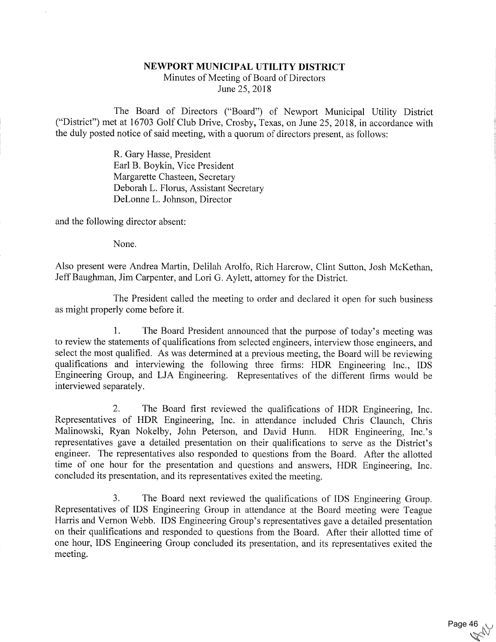## NEWPORT MUNICIPAL UTILITY DISTRICT

Minutes of Meeting of Board of Directors June 25, 2018

The Board of Directors ("Board") of Newport Municipal Utility District ("District") met at 16703 Golf Club Drive, Crosby, Texas, on June 25, 2018, in accordance with the duly posted notice of said meeting, with a quorum of directors present, as follows:

> R. Gary Hasse, President Earl B. Boykin, Vice President Margarette Chasteen, Secretary Deborah L. Florus, Assistant Secretary DeLonne L. Johnson, Director

and the following director absent:

None.

Also present were Andrea Martin, Delilah Arolfo, Rich Harcrow, Clint Sutton, Josh McKethan, Jeff Baughman, Jim Carpenter, and Lori G. Aylett, attorney for the District.

The President called the meeting to order and declared it open for such business as might properly come before it.

1. The Board President announced that the purpose of today's meeting was to review the statements of qualifications from selected engineers, interview those engineers, and select the most qualified. As was determined at a previous meeting, the Board will be reviewing qualifications and interviewing the following three firms: HDR Engineering Inc., IDS Engineering Group, and LJA Engineering. Representatives of the different firms would be interviewed separately.

2. The Board first reviewed the qualifications of HDR Engineering, Inc. Representatives of HDR Engineering, Inc. in attendance included Chris Claunch, Chris Malinowski, Ryan Nokelby, John Peterson, and David Hunn. HDR Engineering, Inc.'s representatives gave a detailed presentation on their qualifications to serve as the District's engineer. The representatives also responded to questions from the Board. After the allotted time of one hour for the presentation and questions and answers, HDR Engineering, Inc. concluded its presentation, and its representatives exited the meeting,

3. The Board next reviewed the qualifications of IDS Engineering Group. Representatives of IDS Engineering Group in attendance at the Board meeting were Teague Harris and Vernon Webb. IDS Engineering Group's representatives gave a detailed presentation on their qualifications and responded to questions from the Board. After their allotted time of one hour, IDS Engineering Group concluded its presentation, and its representatives exited the meeting.

Page 46